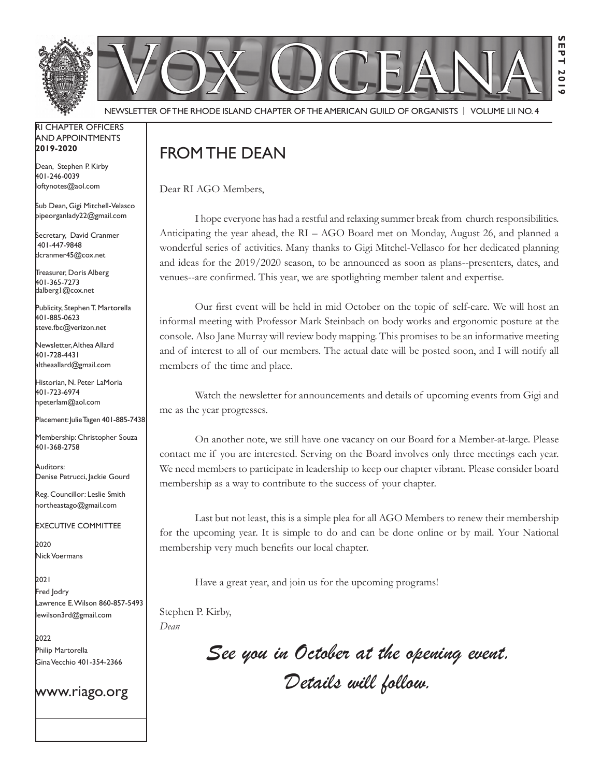Newsletter of the Rhode Island Chapter of the American Guild of OrganistS | Volume LII No. 4

#### RI Chapter Officers and Appointments **2019-2020**

Dean, Stephen P. Kirby 401-246-0039 loftynotes@aol.com

Sub Dean, Gigi Mitchell-Velasco pipeorganlady22@gmail.com

Secretary, David Cranmer 401-447-9848 dcranmer45@cox.net

Treasurer, Doris Alberg 401-365-7273 dalberg1@cox.net I

Publicity, Stephen T. Martorella 401-885-0623 steve.fbc@verizon.net

Newsletter, Althea Allard 401-728-4431 altheaallard@gmail.com

Historian, N. Peter LaMoria 401-723-6974 npeterlam@aol.com

Placement: Julie Tagen 401-885-7438

Membership: Christopher Souza 401-368-2758

Auditors: Denise Petrucci, Jackie Gourd

Reg. Councillor: Leslie Smith northeastago@gmail.com

Executive Committee

2020 Nick Voermans

2021 Fred Jodry Lawrence E. Wilson 860-857-5493 lewilson3rd@gmail.com

2022 Philip Martorella Gina Vecchio 401-354-2366

www.riago.org

# From the Dean

Dear RI AGO Members,

I hope everyone has had a restful and relaxing summer break from church responsibilities. Anticipating the year ahead, the RI – AGO Board met on Monday, August 26, and planned a wonderful series of activities. Many thanks to Gigi Mitchel-Vellasco for her dedicated planning and ideas for the 2019/2020 season, to be announced as soon as plans--presenters, dates, and venues--are confirmed. This year, we are spotlighting member talent and expertise.

Our first event will be held in mid October on the topic of self-care. We will host an informal meeting with Professor Mark Steinbach on body works and ergonomic posture at the console. Also Jane Murray will review body mapping. This promises to be an informative meeting and of interest to all of our members. The actual date will be posted soon, and I will notify all members of the time and place.

Watch the newsletter for announcements and details of upcoming events from Gigi and me as the year progresses.

On another note, we still have one vacancy on our Board for a Member-at-large. Please contact me if you are interested. Serving on the Board involves only three meetings each year. We need members to participate in leadership to keep our chapter vibrant. Please consider board membership as a way to contribute to the success of your chapter.

Last but not least, this is a simple plea for all AGO Members to renew their membership for the upcoming year. It is simple to do and can be done online or by mail. Your National membership very much benefits our local chapter.

Have a great year, and join us for the upcoming programs!

Stephen P. Kirby, *Dean*

> *See you in October at the opening event. Details will follow.*